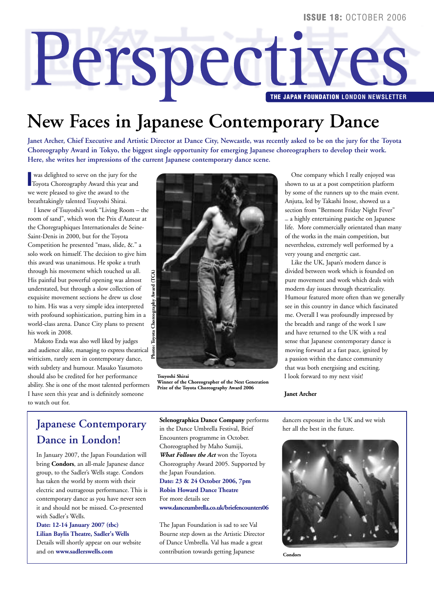# **Perspectives**

# **New Faces in Japanese Contemporary Dance**

**Janet Archer, Chief Executive and Artistic Director at Dance City, Newcastle, was recently asked to be on the jury for the Toyota Choreography Award in Tokyo, the biggest single opportunity for emerging Japanese choreographers to develop their work. Here, she writes her impressions of the current Japanese contemporary dance scene.**

**I** was delighted to serve on the jury for the Toyota Choreography Award this year and was delighted to serve on the jury for the we were pleased to give the award to the breathtakingly talented Tsuyoshi Shirai.

I knew of Tsuyoshi's work "Living Room – the room of sand", which won the Prix d'Auteur at the Choregraphiques Internationales de Seine-Saint-Denis in 2000, but for the Toyota Competition he presented "mass, slide, &." a solo work on himself. The decision to give him this award was unanimous. He spoke a truth through his movement which touched us all. His painful but powerful opening was almost understated, but through a slow collection of exquisite movement sections he drew us close to him. His was a very simple idea interpreted with profound sophistication, putting him in a world-class arena. Dance City plans to present his work in 2008.

Makoto Enda was also well liked by judges and audience alike, managing to express theatrical witticism, rarely seen in contemporary dance, with subtlety and humour. Masako Yasumoto should also be credited for her performance ability. She is one of the most talented performers I have seen this year and is definitely someone to watch out for.



**Tsuyoshi Shirai Winner of the Choreographer of the Next Generation Prize of the Toyota Choreography Award 2006**

One company which I really enjoyed was shown to us at a post competition platform by some of the runners up to the main event. Anjuta, led by Takashi Inose, showed us a section from "Bermont Friday Night Fever" – a highly entertaining pastiche on Japanese life. More commercially orientated than many of the works in the main competition, but nevertheless, extremely well performed by a very young and energetic cast.

Like the UK, Japan's modern dance is divided between work which is founded on pure movement and work which deals with modern day issues through theatricality. Humour featured more often than we generally see in this country in dance which fascinated me. Overall I was profoundly impressed by the breadth and range of the work I saw and have returned to the UK with a real sense that Japanese contemporary dance is moving forward at a fast pace, ignited by a passion within the dance community that was both energising and exciting. I look forward to my next visit!

### **Janet Archer**

# **Japanese Contemporary Dance in London!**

In January 2007, the Japan Foundation will bring **Condors**, an all-male Japanese dance group, to the Sadler's Wells stage. Condors has taken the world by storm with their electric and outrageous performance. This is contemporary dance as you have never seen it and should not be missed. Co-presented with Sadler's Wells.

**Date: 12-14 January 2007 (tbc) Lilian Baylis Theatre, Sadler's Wells** Details will shortly appear on our website and on **www.sadlerswells.com**

**Selenographica Dance Company** performs in the Dance Umbrella Festival, Brief Encounters programme in October. Choreographed by Maho Sumiji, *What Follows the Act* won the Toyota Choreography Award 2005. Supported by the Japan Foundation. **Date: 23 & 24 October 2006, 7pm Robin Howard Dance Theatre** For more details see **www.danceumbrella.co.uk/briefencounters06**

The Japan Foundation is sad to see Val Bourne step down as the Artistic Director of Dance Umbrella. Val has made a great contribution towards getting Japanese

dancers exposure in the UK and we wish her all the best in the future.



**Condors**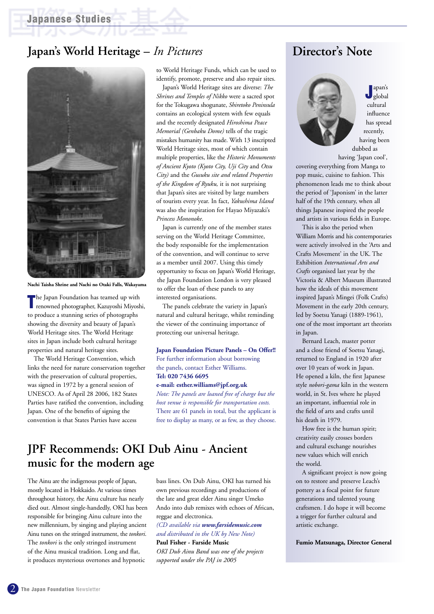### **Japan's World Heritage –** *In Pictures*



**Nachi Taisha Shrine and Nachi no Otaki Falls, Wakayama**

**T** he Japan Foundation has teamed up with<br>
renowned photographer, Kazuyoshi Miyoshi, he Japan Foundation has teamed up with to produce a stunning series of photographs showing the diversity and beauty of Japan's World Heritage sites. The World Heritage sites in Japan include both cultural heritage properties and natural heritage sites.

The World Heritage Convention, which links the need for nature conservation together with the preservation of cultural properties, was signed in 1972 by a general session of UNESCO. As of April 28 2006, 182 States Parties have ratified the convention, including Japan. One of the benefits of signing the convention is that States Parties have access

to World Heritage Funds, which can be used to identify, promote, preserve and also repair sites.

Japan's World Heritage sites are diverse: *The Shrines and Temples of Nikko* were a sacred spot for the Tokugawa shogunate, *Shiretoko Peninsula* contains an ecological system with few equals and the recently designated *Hiroshima Peace Memorial (Genbaku Dome)* tells of the tragic mistakes humanity has made. With 13 inscripted World Heritage sites, most of which contain multiple properties, like the *Historic Monuments of Ancient Kyoto (Kyoto City, Uji City* and *Otsu City)* and the *Gusuku site and related Properties of the Kingdom of Ryuku,* it is not surprising that Japan's sites are visited by large numbers of tourists every year. In fact, *Yakushima Island* was also the inspiration for Hayao Miyazaki's *Princess Mononoke*.

Japan is currently one of the member states serving on the World Heritage Committee, the body responsible for the implementation of the convention, and will continue to serve as a member until 2007. Using this timely opportunity to focus on Japan's World Heritage, the Japan Foundation London is very pleased to offer the loan of these panels to any interested organisations.

The panels celebrate the variety in Japan's natural and cultural heritage, whilst reminding the viewer of the continuing importance of protecting our universal heritage.

### **Japan Foundation Picture Panels – On Offer!!**

For further information about borrowing the panels, contact Esther Williams. **Tel: 020 7436 6695**

### **e-mail: esther.williams@jpf.org.uk**

*Note: The panels are loaned free of charge but the host venue is responsible for transportation costs.* There are 61 panels in total, but the applicant is free to display as many, or as few, as they choose.

### **JPF Recommends: OKI Dub Ainu - Ancient music for the modern age**

The Ainu are the indigenous people of Japan, mostly located in Hokkaido. At various times throughout history, the Ainu culture has nearly died out. Almost single-handedly, OKI has been responsible for bringing Ainu culture into the new millennium, by singing and playing ancient Ainu tunes on the stringed instrument, the *tonkori*. The *tonkori* is the only stringed instrument of the Ainu musical tradition. Long and flat, it produces mysterious overtones and hypnotic

bass lines. On Dub Ainu, OKI has turned his own previous recordings and productions of the late and great elder Ainu singer Umeko Ando into dub remixes with echoes of African, reggae and electronica.

*(CD available via www.farsidemusic.com and distributed in the UK by New Note)*

### **Paul Fisher - Farside Music**

*OKI Dub Ainu Band was one of the projects supported under the PAJ in 2005*

### **Director's Note**



**J** global apan's cultural influence has spread recently, having been dubbed as

having 'Japan cool', covering everything from Manga to pop music, cuisine to fashion. This phenomenon leads me to think about the period of 'Japonism' in the latter half of the 19th century, when all things Japanese inspired the people and artists in various fields in Europe.

This is also the period when William Morris and his contemporaries were actively involved in the 'Arts and Crafts Movement' in the UK. The Exhibition *International Arts and Crafts* organised last year by the Victoria & Albert Museum illustrated how the ideals of this movement inspired Japan's Mingei (Folk Crafts) Movement in the early 20th century, led by Soetsu Yanagi (1889-1961), one of the most important art theorists in Japan.

Bernard Leach, master potter and a close friend of Soetsu Yanagi, returned to England in 1920 after over 10 years of work in Japan. He opened a kiln, the first Japanese style *nobori-gama* kiln in the western world, in St. Ives where he played an important, influential role in the field of arts and crafts until his death in 1979.

How free is the human spirit; creativity easily crosses borders and cultural exchange nourishes new values which will enrich the world.

A significant project is now going on to restore and preserve Leach's pottery as a focal point for future generations and talented young craftsmen. I do hope it will become a trigger for further cultural and artistic exchange.

**Fumio Matsunaga, Director General**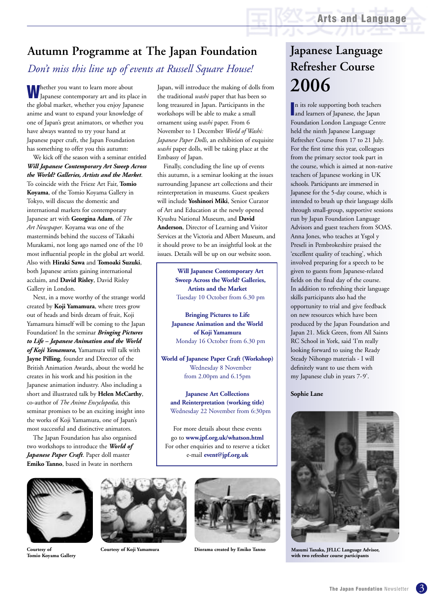# **Autumn Programme at The Japan Foundation**

# *Don't miss this line up of events at Russell Square House!*

**W** hether you want to learn more about<br>Japanese contemporary art and its place in the global market, whether you enjoy Japanese anime and want to expand your knowledge of one of Japan's great animators, or whether you have always wanted to try your hand at Japanese paper craft, the Japan Foundation has something to offer you this autumn:

We kick off the season with a seminar entitled *Will Japanese Contemporary Art Sweep Across the World? Galleries, Artists and the Market*. To coincide with the Frieze Art Fair, **Tomio Koyama**, of the Tomio Koyama Gallery in Tokyo, will discuss the domestic and international markets for contemporary Japanese art with **Georgina Adam**, of *The Art Newspaper*. Koyama was one of the masterminds behind the success of Takashi Murakami, not long ago named one of the 10 most influential people in the global art world. Also with **Hiraki Sawa** and **Tomoaki Suzuki**, both Japanese artists gaining international acclaim, and **David Risley**, David Risley Gallery in London.

Next, in a move worthy of the strange world created by **Koji Yamamura**, where trees grow out of heads and birds dream of fruit, Koji Yamamura himself will be coming to the Japan Foundation! In the seminar *Bringing Pictures to Life – Japanese Animation and the World of Koji Yamamura,* Yamamura will talk with **Jayne Pilling**, founder and Director of the British Animation Awards, about the world he creates in his work and his position in the Japanese animation industry. Also including a short and illustrated talk by **Helen McCarthy**, co-author of *The Anime Encyclopedia,* this seminar promises to be an exciting insight into the works of Koji Yamamura, one of Japan's most successful and distinctive animators.

The Japan Foundation has also organised two workshops to introduce the *World of Japanese Paper Craft*. Paper doll master **Emiko Tanno**, based in Iwate in northern

Japan, will introduce the making of dolls from the traditional *washi* paper that has been so long treasured in Japan. Participants in the workshops will be able to make a small ornament using *washi* paper. From 6 November to 1 December *World of Washi: Japanese Paper Dolls*, an exhibition of exquisite *washi* paper dolls, will be taking place at the Embassy of Japan.

Finally, concluding the line up of events this autumn, is a seminar looking at the issues surrounding Japanese art collections and their reinterpretation in museums. Guest speakers will include **Yoshinori Miki**, Senior Curator of Art and Education at the newly opened Kyushu National Museum, and **David Anderson**, Director of Learning and Visitor Services at the Victoria and Albert Museum, and it should prove to be an insightful look at the issues. Details will be up on our website soon.

> **Will Japanese Contemporary Art Sweep Across the World? Galleries, Artists and the Market** Tuesday 10 October from 6.30 pm

**Bringing Pictures to Life Japanese Animation and the World of Koji Yamamura** Monday 16 October from 6.30 pm

**World of Japanese Paper Craft (Workshop)** Wednesday 8 November from 2.00pm and 6.15pm

**Japanese Art Collections and Reinterpretation (working title)** Wednesday 22 November from 6:30pm

For more details about these events go to **www.jpf.org.uk/whatson.html** For other enquiries and to reserve a ticket e-mail **event@jpf.org.uk**



**Courtesy of Tomio Koyama Gallery**





**Courtesy of Koji Yamamura Diorama created by Emiko Tanno**

# **Japanese Language Refresher Course 2006**

In its role supporting both teachers<br> **I** and learners of Japanese, the Japan and learners of Japanese, the Japan Foundation London Language Centre held the ninth Japanese Language Refresher Course from 17 to 21 July. For the first time this year, colleagues from the primary sector took part in the course, which is aimed at non-native teachers of Japanese working in UK schools. Participants are immersed in Japanese for the 5-day course, which is intended to brush up their language skills through small-group, supportive sessions run by Japan Foundation Language Advisors and guest teachers from SOAS. Anna Jones, who teaches at Ysgol y Preseli in Pembrokeshire praised the 'excellent quality of teaching', which involved preparing for a speech to be given to guests from Japanese-related fields on the final day of the course. In addition to refreshing their language skills participants also had the opportunity to trial and give feedback on new resources which have been produced by the Japan Foundation and Japan 21. Mick Green, from All Saints RC School in York, said 'I'm really looking forward to using the Ready Steady Nihongo materials - I will definitely want to use them with my Japanese club in years 7-9'.

### **Sophie Lane**



**Masumi Tanaka, JFLLC Language Advisor, with two refresher course participants**